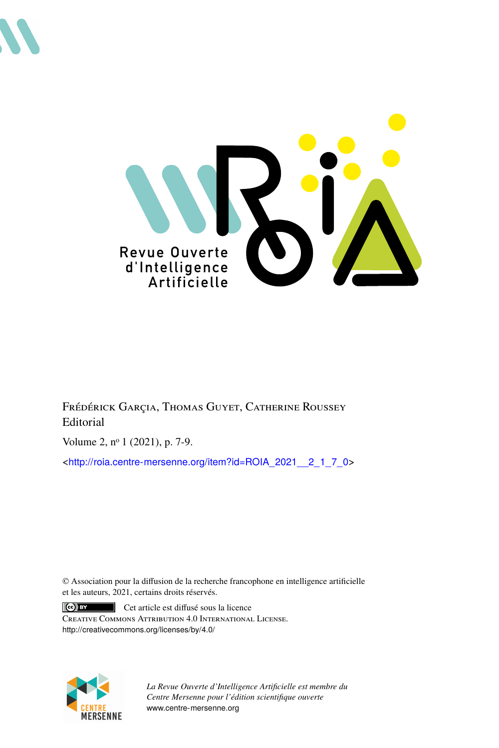



Frédérick Garçia, Thomas Guyet, Catherine Roussey Editorial

Volume 2, n<sup>o</sup> 1 (2021), p. 7-9.

<[http://roia.centre-mersenne.org/item?id=ROIA\\_2021\\_\\_2\\_1\\_7\\_0](http://roia.centre-mersenne.org/item?id=ROIA_2021__2_1_7_0)>

© Association pour la diffusion de la recherche francophone en intelligence artificielle et les auteurs, 2021, certains droits réservés.

 $\vert$  (cc)  $\vert$  BY Cet article est diffusé sous la licence Creative Commons Attribution 4.0 International License. <http://creativecommons.org/licenses/by/4.0/>



*La Revue Ouverte d'Intelligence Artificielle est membre du Centre Mersenne pour l'édition scientifique ouverte* <www.centre-mersenne.org>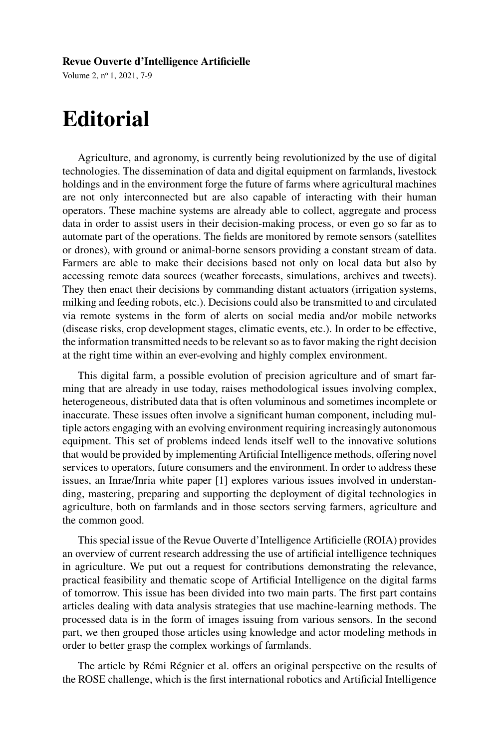## **Revue Ouverte d'Intelligence Artificielle**

Volume 2, n<sup>o</sup> 1, 2021, 7-9

## **Editorial**

Agriculture, and agronomy, is currently being revolutionized by the use of digital technologies. The dissemination of data and digital equipment on farmlands, livestock holdings and in the environment forge the future of farms where agricultural machines are not only interconnected but are also capable of interacting with their human operators. These machine systems are already able to collect, aggregate and process data in order to assist users in their decision-making process, or even go so far as to automate part of the operations. The fields are monitored by remote sensors (satellites or drones), with ground or animal-borne sensors providing a constant stream of data. Farmers are able to make their decisions based not only on local data but also by accessing remote data sources (weather forecasts, simulations, archives and tweets). They then enact their decisions by commanding distant actuators (irrigation systems, milking and feeding robots, etc.). Decisions could also be transmitted to and circulated via remote systems in the form of alerts on social media and/or mobile networks (disease risks, crop development stages, climatic events, etc.). In order to be effective, the information transmitted needs to be relevant so as to favor making the right decision at the right time within an ever-evolving and highly complex environment.

This digital farm, a possible evolution of precision agriculture and of smart farming that are already in use today, raises methodological issues involving complex, heterogeneous, distributed data that is often voluminous and sometimes incomplete or inaccurate. These issues often involve a significant human component, including multiple actors engaging with an evolving environment requiring increasingly autonomous equipment. This set of problems indeed lends itself well to the innovative solutions that would be provided by implementing Artificial Intelligence methods, offering novel services to operators, future consumers and the environment. In order to address these issues, an Inrae/Inria white paper [\[1\]](#page-3-0) explores various issues involved in understanding, mastering, preparing and supporting the deployment of digital technologies in agriculture, both on farmlands and in those sectors serving farmers, agriculture and the common good.

This special issue of the Revue Ouverte d'Intelligence Artificielle (ROIA) provides an overview of current research addressing the use of artificial intelligence techniques in agriculture. We put out a request for contributions demonstrating the relevance, practical feasibility and thematic scope of Artificial Intelligence on the digital farms of tomorrow. This issue has been divided into two main parts. The first part contains articles dealing with data analysis strategies that use machine-learning methods. The processed data is in the form of images issuing from various sensors. In the second part, we then grouped those articles using knowledge and actor modeling methods in order to better grasp the complex workings of farmlands.

The article by Rémi Régnier et al. offers an original perspective on the results of the ROSE challenge, which is the first international robotics and Artificial Intelligence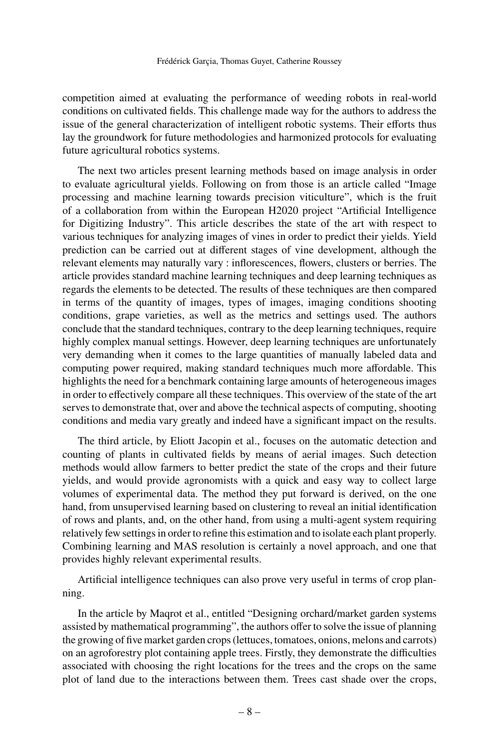competition aimed at evaluating the performance of weeding robots in real-world conditions on cultivated fields. This challenge made way for the authors to address the issue of the general characterization of intelligent robotic systems. Their efforts thus lay the groundwork for future methodologies and harmonized protocols for evaluating future agricultural robotics systems.

The next two articles present learning methods based on image analysis in order to evaluate agricultural yields. Following on from those is an article called "Image processing and machine learning towards precision viticulture", which is the fruit of a collaboration from within the European H2020 project "Artificial Intelligence for Digitizing Industry". This article describes the state of the art with respect to various techniques for analyzing images of vines in order to predict their yields. Yield prediction can be carried out at different stages of vine development, although the relevant elements may naturally vary : inflorescences, flowers, clusters or berries. The article provides standard machine learning techniques and deep learning techniques as regards the elements to be detected. The results of these techniques are then compared in terms of the quantity of images, types of images, imaging conditions shooting conditions, grape varieties, as well as the metrics and settings used. The authors conclude that the standard techniques, contrary to the deep learning techniques, require highly complex manual settings. However, deep learning techniques are unfortunately very demanding when it comes to the large quantities of manually labeled data and computing power required, making standard techniques much more affordable. This highlights the need for a benchmark containing large amounts of heterogeneous images in order to effectively compare all these techniques. This overview of the state of the art serves to demonstrate that, over and above the technical aspects of computing, shooting conditions and media vary greatly and indeed have a significant impact on the results.

The third article, by Eliott Jacopin et al., focuses on the automatic detection and counting of plants in cultivated fields by means of aerial images. Such detection methods would allow farmers to better predict the state of the crops and their future yields, and would provide agronomists with a quick and easy way to collect large volumes of experimental data. The method they put forward is derived, on the one hand, from unsupervised learning based on clustering to reveal an initial identification of rows and plants, and, on the other hand, from using a multi-agent system requiring relatively few settings in order to refine this estimation and to isolate each plant properly. Combining learning and MAS resolution is certainly a novel approach, and one that provides highly relevant experimental results.

Artificial intelligence techniques can also prove very useful in terms of crop planning.

In the article by Maqrot et al., entitled "Designing orchard/market garden systems assisted by mathematical programming", the authors offer to solve the issue of planning the growing of five market garden crops (lettuces, tomatoes, onions, melons and carrots) on an agroforestry plot containing apple trees. Firstly, they demonstrate the difficulties associated with choosing the right locations for the trees and the crops on the same plot of land due to the interactions between them. Trees cast shade over the crops,